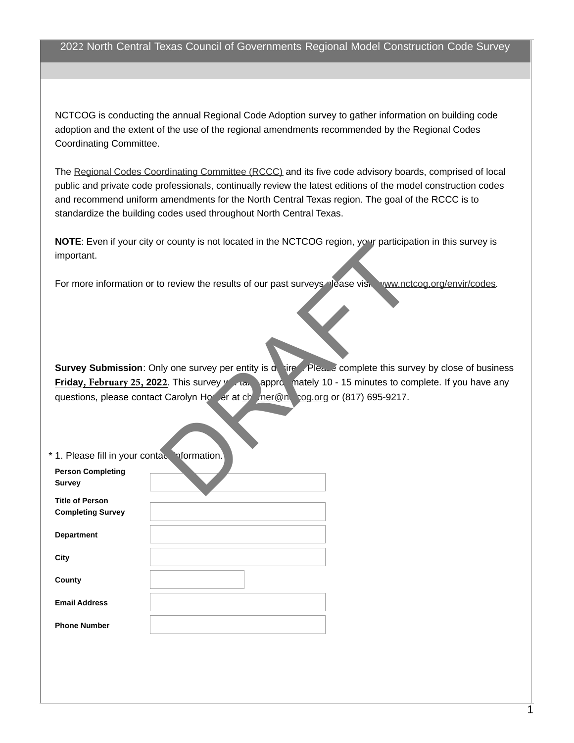## 2022 North Central Texas Council of Governments Regional Model Construction Code Survey

NCTCOG is conducting the annual Regional Code Adoption survey to gather information on building code adoption and the extent of the use of the regional amendments recommended by the Regional Codes Coordinating Committee.

The [Regional Codes Coordinating Committee \(RCCC\)](http://www.nctcog.org/envir/committees/rccc/index.asp) and its five code advisory boards, comprised of local public and private code professionals, continually review the latest editions of the model construction codes and recommend uniform amendments for the North Central Texas region. The goal of the RCCC is to standardize the building codes used throughout North Central Texas.

**NOTE**: Even if your city or county is not located in the NCTCOG region, your participation in this survey is important.

For more information or to review the results of our past surveys please visit [www.nctcog.org/envir/codes](http://www.nctcog.org/envir/SEEDevEx/codes/index.asp).

**Survey Submission**: Only one survey per entity is desired. Please complete this survey by close of business **Friday, February 25, 2022.** This survey will take approximately 10 - 15 minutes to complete. If you have any questions, please contact Carolyn Horner at chorner@nctog.org or (817) 695-9217. or review the results of our past surveys rease visit www.nctron or review the results of our past surveys rease visit www.nctron or review the results of our past surveys rease visit www.nctron by the results of our past

| * 1. Please fill in your contace information.      |  |
|----------------------------------------------------|--|
| <b>Person Completing</b><br><b>Survey</b>          |  |
| <b>Title of Person</b><br><b>Completing Survey</b> |  |
| <b>Department</b>                                  |  |
| City                                               |  |
| County                                             |  |
| <b>Email Address</b>                               |  |
| <b>Phone Number</b>                                |  |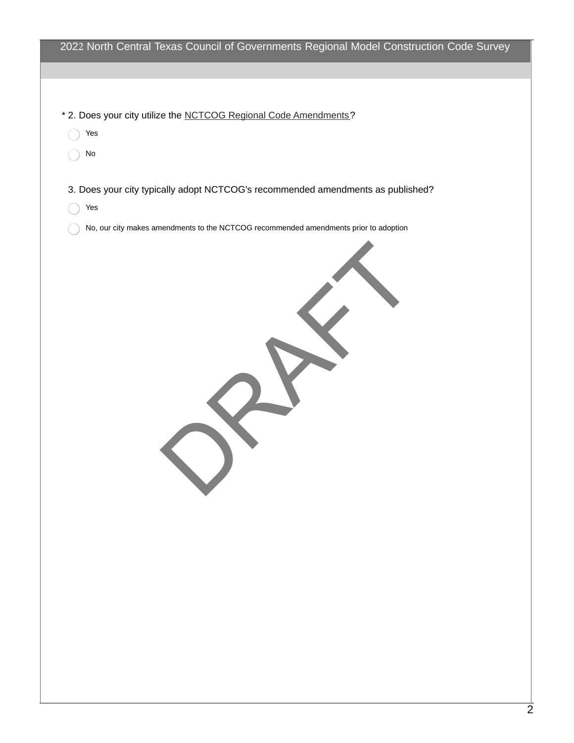|          | 2022 North Central Texas Council of Governments Regional Model Construction Code Survey |
|----------|-----------------------------------------------------------------------------------------|
|          | * 2. Does your city utilize the NCTCOG Regional Code Amendments?                        |
| Yes      |                                                                                         |
| $\rm No$ |                                                                                         |
|          | 3. Does your city typically adopt NCTCOG's recommended amendments as published?         |
| Yes      |                                                                                         |
|          |                                                                                         |
|          |                                                                                         |
|          |                                                                                         |
|          |                                                                                         |
|          |                                                                                         |
|          |                                                                                         |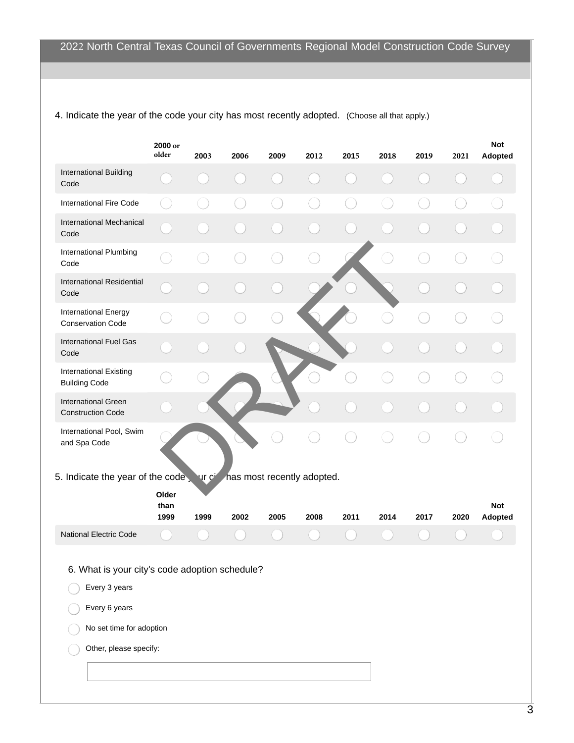|                                                                 | 2000 or<br>older      | 2003  | 2006 | 2009 | 2012                       | 2015 | 2018 | 2019 | 2021 | <b>Not</b><br>Adopted        |
|-----------------------------------------------------------------|-----------------------|-------|------|------|----------------------------|------|------|------|------|------------------------------|
| <b>International Building</b><br>Code                           |                       |       |      |      |                            |      |      |      |      |                              |
| <b>International Fire Code</b>                                  |                       |       |      |      |                            |      |      |      |      |                              |
| <b>International Mechanical</b><br>Code                         |                       |       |      |      |                            |      |      |      |      |                              |
| International Plumbing<br>Code                                  |                       |       |      |      |                            |      |      |      |      |                              |
| <b>International Residential</b><br>Code                        |                       |       |      |      |                            |      |      |      |      |                              |
| <b>International Energy</b><br><b>Conservation Code</b>         |                       |       |      |      |                            |      |      |      |      |                              |
| <b>International Fuel Gas</b><br>Code                           |                       |       |      |      |                            |      |      |      |      |                              |
| <b>International Existing</b><br><b>Building Code</b>           |                       |       |      |      |                            |      |      |      |      |                              |
| <b>International Green</b><br><b>Construction Code</b>          |                       |       |      |      |                            |      |      |      |      |                              |
| International Pool, Swim<br>and Spa Code                        |                       |       |      |      |                            |      |      |      |      |                              |
| 5. Indicate the year of the code,                               |                       | ur ci |      |      | has most recently adopted. |      |      |      |      |                              |
|                                                                 | Older<br>than<br>1999 | 1999  | 2002 | 2005 | 2008                       | 2011 | 2014 | 2017 | 2020 | <b>Not</b><br><b>Adopted</b> |
| <b>National Electric Code</b>                                   |                       |       |      |      |                            |      |      |      |      |                              |
| 6. What is your city's code adoption schedule?<br>Every 3 years |                       |       |      |      |                            |      |      |      |      |                              |
| Every 6 years                                                   |                       |       |      |      |                            |      |      |      |      |                              |
| No set time for adoption                                        |                       |       |      |      |                            |      |      |      |      |                              |
| Other, please specify:                                          |                       |       |      |      |                            |      |      |      |      |                              |
|                                                                 |                       |       |      |      |                            |      |      |      |      |                              |

4. Indicate the year of the code your city has most recently adopted. (Choose all that apply.)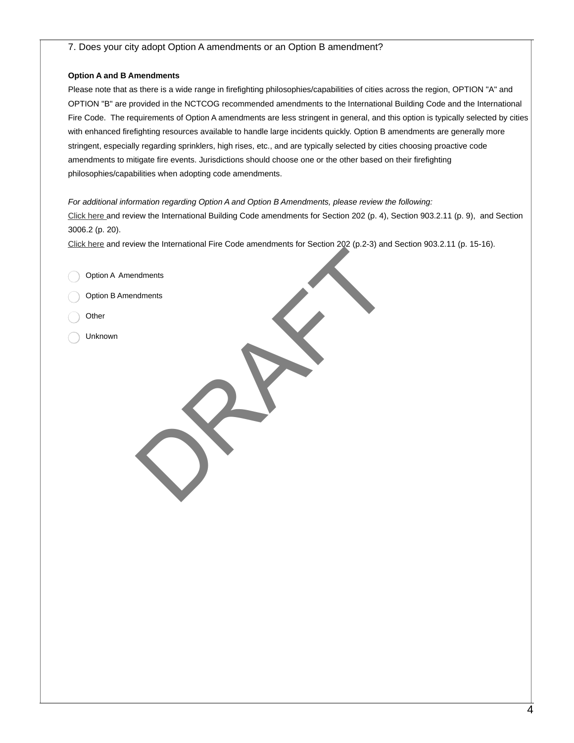## 7. Does your city adopt Option A amendments or an Option B amendment?

## **Option A and B Amendments**

Please note that as there is a wide range in firefighting philosophies/capabilities of cities across the region, OPTION "A" and OPTION "B" are provided in the NCTCOG recommended amendments to the International Building Code and the International Fire Code. The requirements of Option A amendments are less stringent in general, and this option is typically selected by cities with enhanced firefighting resources available to handle large incidents quickly. Option B amendments are generally more stringent, especially regarding sprinklers, high rises, etc., and are typically selected by cities choosing proactive code amendments to mitigate fire events. Jurisdictions should choose one or the other based on their firefighting philosophies/capabilities when adopting code amendments.

## *For additional information regarding Option A and Option B Amendments, please review the following:*

[Click here](https://www.nctcog.org/nctcg/media/Environment-and-Development/Documents/Codes/2018-IBC-Amendments_1.pdf) and review the International Building Code amendments for Section 202 (p. 4), Section 903.2.11 (p. 9), and Section 3006.2 (p. 20).

[Click here](https://www.nctcog.org/nctcg/media/Environment-and-Development/Documents/Codes/2018_IFC_Amendments_1.pdf) and review the International Fire Code amendments for Section 202 (p.2-3) and Section 903.2.11 (p. 15-16). DRAFT

Option A Amendments

Option B Amendments

- **Other**
- Unknown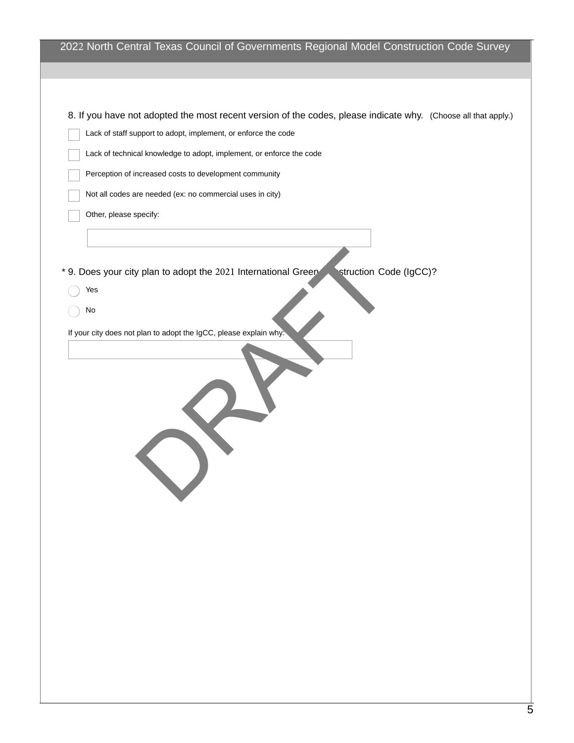| 2022 North Central Texas Council of Governments Regional Model Construction Code Survey                                                                                          |
|----------------------------------------------------------------------------------------------------------------------------------------------------------------------------------|
|                                                                                                                                                                                  |
| 8. If you have not adopted the most recent version of the codes, please indicate why. (Choose all that apply.)<br>Lack of staff support to adopt, implement, or enforce the code |
| Lack of technical knowledge to adopt, implement, or enforce the code                                                                                                             |
| Perception of increased costs to development community                                                                                                                           |
| Not all codes are needed (ex: no commercial uses in city)                                                                                                                        |
| Other, please specify:                                                                                                                                                           |
|                                                                                                                                                                                  |
| struction Code (IgCC)?<br>* 9. Does your city plan to adopt the 2021 International Green                                                                                         |
| Yes                                                                                                                                                                              |
| No                                                                                                                                                                               |
| If your city does not plan to adopt the IgCC, please explain why:                                                                                                                |
|                                                                                                                                                                                  |
|                                                                                                                                                                                  |